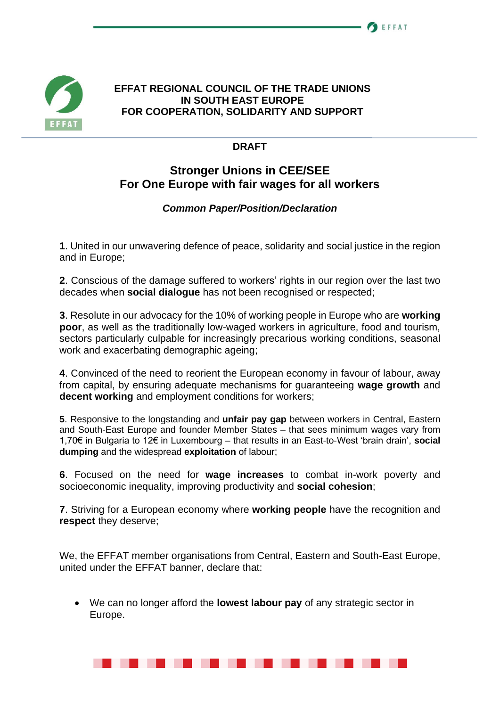

## **EFFAT REGIONAL COUNCIL OF THE TRADE UNIONS IN SOUTH EAST EUROPE FOR COOPERATION, SOLIDARITY AND SUPPORT**

## **DRAFT**

## **Stronger Unions in CEE/SEE For One Europe with fair wages for all workers**

## *Common Paper/Position/Declaration*

**1**. United in our unwavering defence of peace, solidarity and social justice in the region and in Europe;

**2**. Conscious of the damage suffered to workers' rights in our region over the last two decades when **social dialogue** has not been recognised or respected;

**3**. Resolute in our advocacy for the 10% of working people in Europe who are **working poor**, as well as the traditionally low-waged workers in agriculture, food and tourism, sectors particularly culpable for increasingly precarious working conditions, seasonal work and exacerbating demographic ageing;

**4**. Convinced of the need to reorient the European economy in favour of labour, away from capital, by ensuring adequate mechanisms for guaranteeing **wage growth** and **decent working** and employment conditions for workers;

**5**. Responsive to the longstanding and **unfair pay gap** between workers in Central, Eastern and South-East Europe and founder Member States – that sees minimum wages vary from 1,70€ in Bulgaria to 12€ in Luxembourg – that results in an East-to-West 'brain drain', **social dumping** and the widespread **exploitation** of labour;

**6**. Focused on the need for **wage increases** to combat in-work poverty and socioeconomic inequality, improving productivity and **social cohesion**;

**7**. Striving for a European economy where **working people** have the recognition and **respect** they deserve;

We, the EFFAT member organisations from Central, Eastern and South-East Europe, united under the EFFAT banner, declare that:

• We can no longer afford the **lowest labour pay** of any strategic sector in Europe.